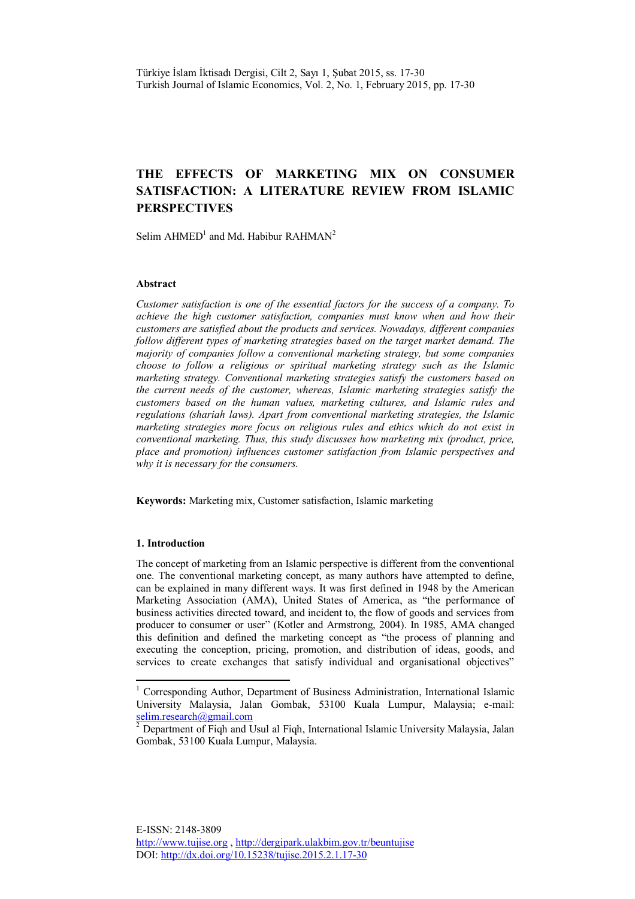# **THE EFFECTS OF MARKETING MIX ON CONSUMER SATISFACTION: A LITERATURE REVIEW FROM ISLAMIC PERSPECTIVES**

Selim  $AHMED<sup>1</sup>$  $AHMED<sup>1</sup>$  and Md. Habibur [RAHMAN](#page-0-1)<sup>2</sup>

#### **Abstract**

*Customer satisfaction is one of the essential factors for the success of a company. To achieve the high customer satisfaction, companies must know when and how their customers are satisfied about the products and services. Nowadays, different companies follow different types of marketing strategies based on the target market demand. The majority of companies follow a conventional marketing strategy, but some companies choose to follow a religious or spiritual marketing strategy such as the Islamic marketing strategy. Conventional marketing strategies satisfy the customers based on the current needs of the customer, whereas, Islamic marketing strategies satisfy the customers based on the human values, marketing cultures, and Islamic rules and regulations (shariah laws). Apart from conventional marketing strategies, the Islamic marketing strategies more focus on religious rules and ethics which do not exist in conventional marketing. Thus, this study discusses how marketing mix (product, price, place and promotion) influences customer satisfaction from Islamic perspectives and why it is necessary for the consumers.* 

**Keywords:** Marketing mix, Customer satisfaction, Islamic marketing

#### **1. Introduction**

 $\overline{a}$ 

The concept of marketing from an Islamic perspective is different from the conventional one. The conventional marketing concept, as many authors have attempted to define, can be explained in many different ways. It was first defined in 1948 by the American Marketing Association (AMA), United States of America, as "the performance of business activities directed toward, and incident to, the flow of goods and services from producer to consumer or user" (Kotler and Armstrong, 2004). In 1985, AMA changed this definition and defined the marketing concept as "the process of planning and executing the conception, pricing, promotion, and distribution of ideas, goods, and services to create exchanges that satisfy individual and organisational objectives"

<span id="page-0-0"></span><sup>&</sup>lt;sup>1</sup> Corresponding Author, Department of Business Administration, International Islamic University Malaysia, Jalan Gombak, 53100 Kuala Lumpur, Malaysia; e-mail: selim.research@gmail.com

<span id="page-0-1"></span><sup>2</sup> Department of Fiqh and Usul al Fiqh, International Islamic University Malaysia, Jalan Gombak, 53100 Kuala Lumpur, Malaysia.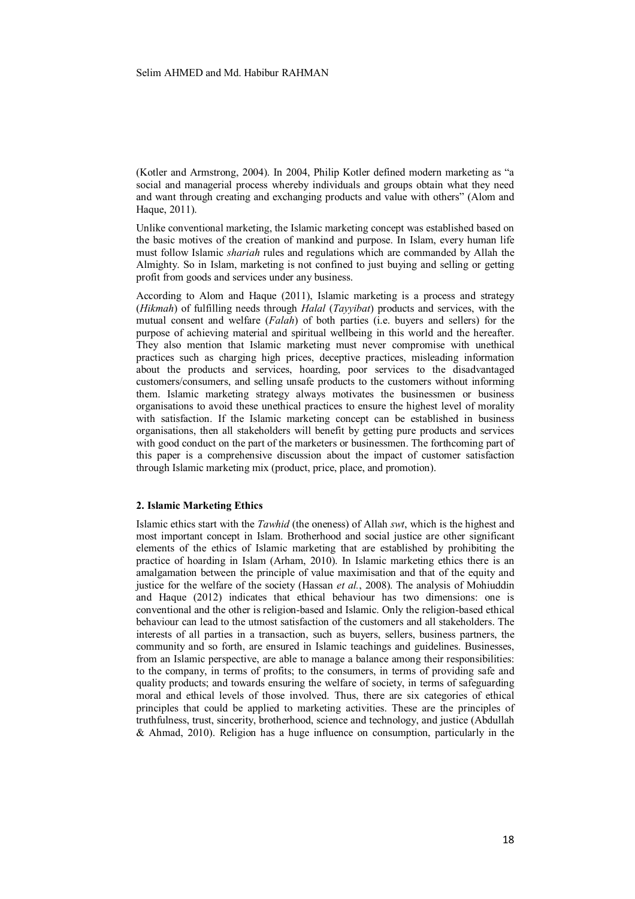(Kotler and Armstrong, 2004). In 2004, Philip Kotler defined modern marketing as "a social and managerial process whereby individuals and groups obtain what they need and want through creating and exchanging products and value with others" (Alom and Haque, 2011).

Unlike conventional marketing, the Islamic marketing concept was established based on the basic motives of the creation of mankind and purpose. In Islam, every human life must follow Islamic *shariah* rules and regulations which are commanded by Allah the Almighty. So in Islam, marketing is not confined to just buying and selling or getting profit from goods and services under any business.

According to Alom and Haque (2011), Islamic marketing is a process and strategy (*Hikmah*) of fulfilling needs through *Halal* (*Tayyibat*) products and services, with the mutual consent and welfare (*Falah*) of both parties (i.e. buyers and sellers) for the purpose of achieving material and spiritual wellbeing in this world and the hereafter. They also mention that Islamic marketing must never compromise with unethical practices such as charging high prices, deceptive practices, misleading information about the products and services, hoarding, poor services to the disadvantaged customers/consumers, and selling unsafe products to the customers without informing them. Islamic marketing strategy always motivates the businessmen or business organisations to avoid these unethical practices to ensure the highest level of morality with satisfaction. If the Islamic marketing concept can be established in business organisations, then all stakeholders will benefit by getting pure products and services with good conduct on the part of the marketers or businessmen. The forthcoming part of this paper is a comprehensive discussion about the impact of customer satisfaction through Islamic marketing mix (product, price, place, and promotion).

### **2. Islamic Marketing Ethics**

Islamic ethics start with the *Tawhid* (the oneness) of Allah *swt*, which is the highest and most important concept in Islam. Brotherhood and social justice are other significant elements of the ethics of Islamic marketing that are established by prohibiting the practice of hoarding in Islam (Arham, 2010). In Islamic marketing ethics there is an amalgamation between the principle of value maximisation and that of the equity and justice for the welfare of the society (Hassan *et al.*, 2008). The analysis of Mohiuddin and Haque (2012) indicates that ethical behaviour has two dimensions: one is conventional and the other is religion-based and Islamic. Only the religion-based ethical behaviour can lead to the utmost satisfaction of the customers and all stakeholders. The interests of all parties in a transaction, such as buyers, sellers, business partners, the community and so forth, are ensured in Islamic teachings and guidelines. Businesses, from an Islamic perspective, are able to manage a balance among their responsibilities: to the company, in terms of profits; to the consumers, in terms of providing safe and quality products; and towards ensuring the welfare of society, in terms of safeguarding moral and ethical levels of those involved. Thus, there are six categories of ethical principles that could be applied to marketing activities. These are the principles of truthfulness, trust, sincerity, brotherhood, science and technology, and justice (Abdullah & Ahmad, 2010). Religion has a huge influence on consumption, particularly in the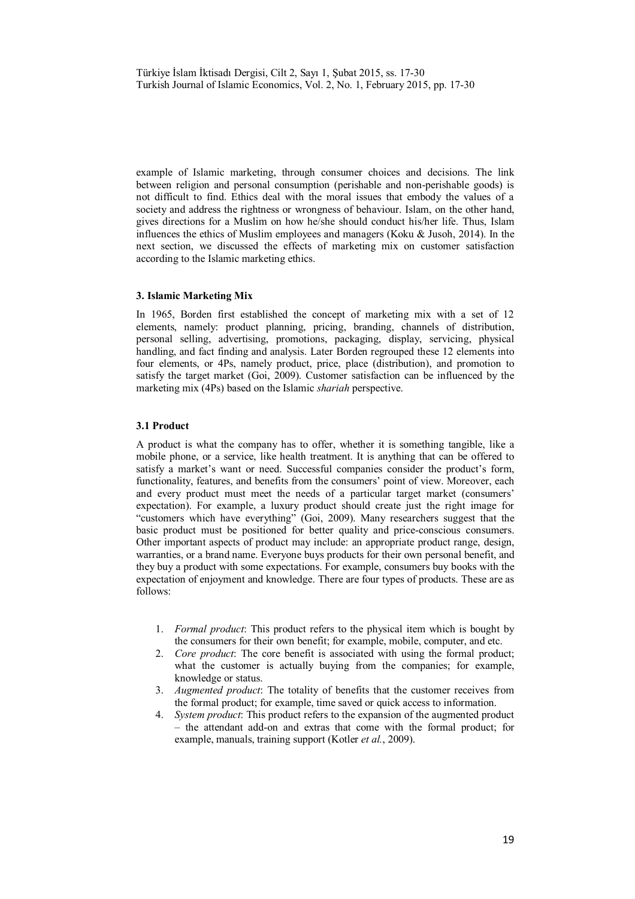example of Islamic marketing, through consumer choices and decisions. The link between religion and personal consumption (perishable and non-perishable goods) is not difficult to find. Ethics deal with the moral issues that embody the values of a society and address the rightness or wrongness of behaviour. Islam, on the other hand, gives directions for a Muslim on how he/she should conduct his/her life. Thus, Islam influences the ethics of Muslim employees and managers (Koku  $\&$  Jusoh, 2014). In the next section, we discussed the effects of marketing mix on customer satisfaction according to the Islamic marketing ethics.

# **3. Islamic Marketing Mix**

In 1965, Borden first established the concept of marketing mix with a set of 12 elements, namely: product planning, pricing, branding, channels of distribution, personal selling, advertising, promotions, packaging, display, servicing, physical handling, and fact finding and analysis. Later Borden regrouped these 12 elements into four elements, or 4Ps, namely product, price, place (distribution), and promotion to satisfy the target market (Goi, 2009). Customer satisfaction can be influenced by the marketing mix (4Ps) based on the Islamic *shariah* perspective.

# **3.1 Product**

A product is what the company has to offer, whether it is something tangible, like a mobile phone, or a service, like health treatment. It is anything that can be offered to satisfy a market's want or need. Successful companies consider the product's form, functionality, features, and benefits from the consumers' point of view. Moreover, each and every product must meet the needs of a particular target market (consumers' expectation). For example, a luxury product should create just the right image for "customers which have everything" (Goi, 2009). Many researchers suggest that the basic product must be positioned for better quality and price-conscious consumers. Other important aspects of product may include: an appropriate product range, design, warranties, or a brand name. Everyone buys products for their own personal benefit, and they buy a product with some expectations. For example, consumers buy books with the expectation of enjoyment and knowledge. There are four types of products. These are as follows:

- 1. *Formal product*: This product refers to the physical item which is bought by the consumers for their own benefit; for example, mobile, computer, and etc.
- 2. *Core product*: The core benefit is associated with using the formal product; what the customer is actually buying from the companies; for example, knowledge or status.
- 3. *Augmented product*: The totality of benefits that the customer receives from the formal product; for example, time saved or quick access to information.
- 4. *System product*: This product refers to the expansion of the augmented product – the attendant add-on and extras that come with the formal product; for example, manuals, training support (Kotler *et al.*, 2009).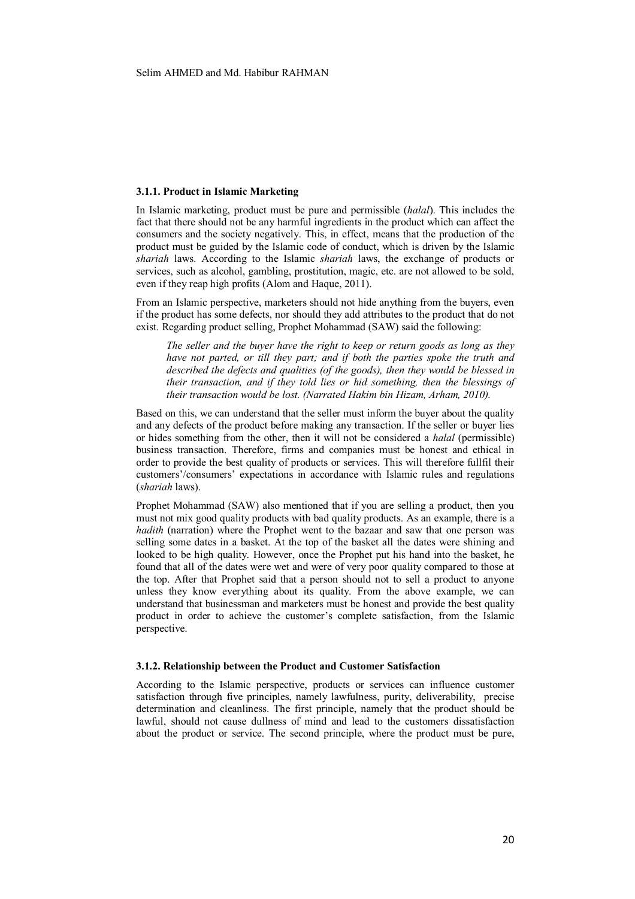# **3.1.1. Product in Islamic Marketing**

In Islamic marketing, product must be pure and permissible (*halal*). This includes the fact that there should not be any harmful ingredients in the product which can affect the consumers and the society negatively. This, in effect, means that the production of the product must be guided by the Islamic code of conduct, which is driven by the Islamic *shariah* laws. According to the Islamic *shariah* laws, the exchange of products or services, such as alcohol, gambling, prostitution, magic, etc. are not allowed to be sold, even if they reap high profits (Alom and Haque, 2011).

From an Islamic perspective, marketers should not hide anything from the buyers, even if the product has some defects, nor should they add attributes to the product that do not exist. Regarding product selling, Prophet Mohammad (SAW) said the following:

*The seller and the buyer have the right to keep or return goods as long as they have not parted, or till they part; and if both the parties spoke the truth and described the defects and qualities (of the goods), then they would be blessed in their transaction, and if they told lies or hid something, then the blessings of their transaction would be lost. (Narrated Hakim bin Hizam, Arham, 2010).*

Based on this, we can understand that the seller must inform the buyer about the quality and any defects of the product before making any transaction. If the seller or buyer lies or hides something from the other, then it will not be considered a *halal* (permissible) business transaction. Therefore, firms and companies must be honest and ethical in order to provide the best quality of products or services. This will therefore fullfil their customers'/consumers' expectations in accordance with Islamic rules and regulations (*shariah* laws).

Prophet Mohammad (SAW) also mentioned that if you are selling a product, then you must not mix good quality products with bad quality products. As an example, there is a *hadith* (narration) where the Prophet went to the bazaar and saw that one person was selling some dates in a basket. At the top of the basket all the dates were shining and looked to be high quality. However, once the Prophet put his hand into the basket, he found that all of the dates were wet and were of very poor quality compared to those at the top. After that Prophet said that a person should not to sell a product to anyone unless they know everything about its quality. From the above example, we can understand that businessman and marketers must be honest and provide the best quality product in order to achieve the customer's complete satisfaction, from the Islamic perspective.

#### **3.1.2. Relationship between the Product and Customer Satisfaction**

According to the Islamic perspective, products or services can influence customer satisfaction through five principles, namely lawfulness, purity, deliverability, precise determination and cleanliness. The first principle, namely that the product should be lawful, should not cause dullness of mind and lead to the customers dissatisfaction about the product or service. The second principle, where the product must be pure,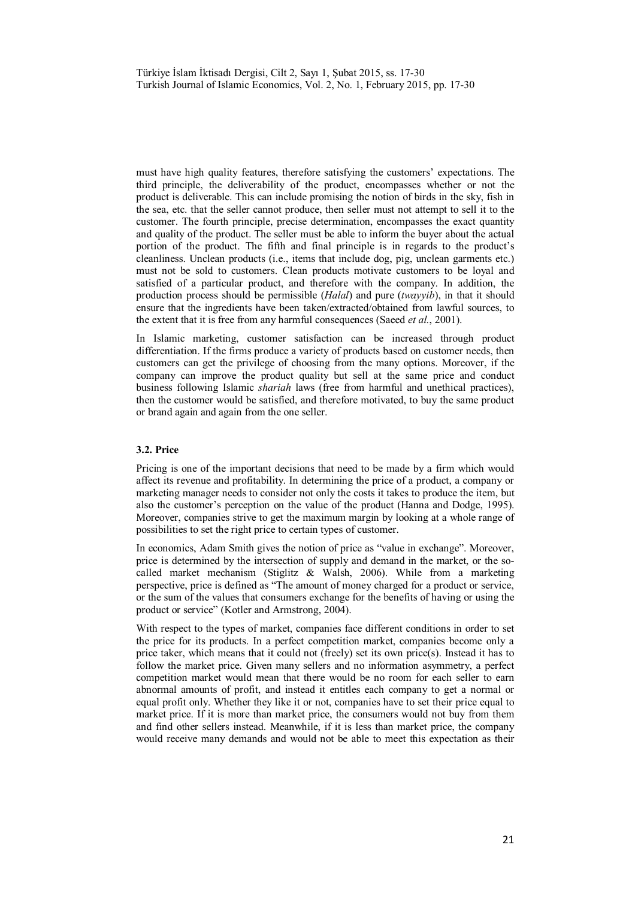must have high quality features, therefore satisfying the customers' expectations. The third principle, the deliverability of the product, encompasses whether or not the product is deliverable. This can include promising the notion of birds in the sky, fish in the sea, etc. that the seller cannot produce, then seller must not attempt to sell it to the customer. The fourth principle, precise determination, encompasses the exact quantity and quality of the product. The seller must be able to inform the buyer about the actual portion of the product. The fifth and final principle is in regards to the product's cleanliness. Unclean products (i.e., items that include dog, pig, unclean garments etc.) must not be sold to customers. Clean products motivate customers to be loyal and satisfied of a particular product, and therefore with the company. In addition, the production process should be permissible (*Halal*) and pure (*twayyib*), in that it should ensure that the ingredients have been taken/extracted/obtained from lawful sources, to the extent that it is free from any harmful consequences (Saeed *et al.*, 2001).

In Islamic marketing, customer satisfaction can be increased through product differentiation. If the firms produce a variety of products based on customer needs, then customers can get the privilege of choosing from the many options. Moreover, if the company can improve the product quality but sell at the same price and conduct business following Islamic *shariah* laws (free from harmful and unethical practices), then the customer would be satisfied, and therefore motivated, to buy the same product or brand again and again from the one seller.

# **3.2. Price**

Pricing is one of the important decisions that need to be made by a firm which would affect its revenue and profitability. In determining the price of a product, a company or marketing manager needs to consider not only the costs it takes to produce the item, but also the customer's perception on the value of the product (Hanna and Dodge, 1995). Moreover, companies strive to get the maximum margin by looking at a whole range of possibilities to set the right price to certain types of customer.

In economics, Adam Smith gives the notion of price as "value in exchange". Moreover, price is determined by the intersection of supply and demand in the market, or the socalled market mechanism (Stiglitz & Walsh, 2006). While from a marketing perspective, price is defined as "The amount of money charged for a product or service, or the sum of the values that consumers exchange for the benefits of having or using the product or service" (Kotler and Armstrong, 2004).

With respect to the types of market, companies face different conditions in order to set the price for its products. In a perfect competition market, companies become only a price taker, which means that it could not (freely) set its own price(s). Instead it has to follow the market price. Given many sellers and no information asymmetry, a perfect competition market would mean that there would be no room for each seller to earn abnormal amounts of profit, and instead it entitles each company to get a normal or equal profit only. Whether they like it or not, companies have to set their price equal to market price. If it is more than market price, the consumers would not buy from them and find other sellers instead. Meanwhile, if it is less than market price, the company would receive many demands and would not be able to meet this expectation as their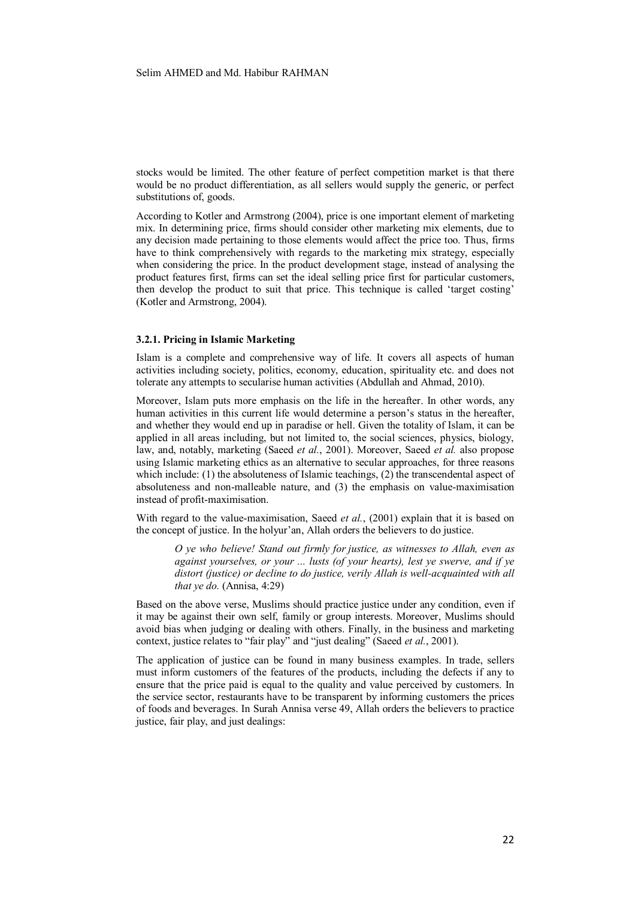stocks would be limited. The other feature of perfect competition market is that there would be no product differentiation, as all sellers would supply the generic, or perfect substitutions of, goods.

According to Kotler and Armstrong (2004), price is one important element of marketing mix. In determining price, firms should consider other marketing mix elements, due to any decision made pertaining to those elements would affect the price too. Thus, firms have to think comprehensively with regards to the marketing mix strategy, especially when considering the price. In the product development stage, instead of analysing the product features first, firms can set the ideal selling price first for particular customers, then develop the product to suit that price. This technique is called 'target costing' (Kotler and Armstrong, 2004).

#### **3.2.1. Pricing in Islamic Marketing**

Islam is a complete and comprehensive way of life. It covers all aspects of human activities including society, politics, economy, education, spirituality etc. and does not tolerate any attempts to secularise human activities (Abdullah and Ahmad, 2010).

Moreover, Islam puts more emphasis on the life in the hereafter. In other words, any human activities in this current life would determine a person's status in the hereafter, and whether they would end up in paradise or hell. Given the totality of Islam, it can be applied in all areas including, but not limited to, the social sciences, physics, biology, law, and, notably, marketing (Saeed *et al.*, 2001). Moreover, Saeed *et al.* also propose using Islamic marketing ethics as an alternative to secular approaches, for three reasons which include: (1) the absoluteness of Islamic teachings, (2) the transcendental aspect of absoluteness and non-malleable nature, and (3) the emphasis on value-maximisation instead of profit-maximisation.

With regard to the value-maximisation, Saeed *et al.*, (2001) explain that it is based on the concept of justice. In the holyur'an, Allah orders the believers to do justice.

> *O ye who believe! Stand out firmly for justice, as witnesses to Allah, even as against yourselves, or your ... lusts (of your hearts), lest ye swerve, and if ye distort (justice) or decline to do justice, verily Allah is well-acquainted with all that ye do.* (Annisa, 4:29)

Based on the above verse, Muslims should practice justice under any condition, even if it may be against their own self, family or group interests. Moreover, Muslims should avoid bias when judging or dealing with others. Finally, in the business and marketing context, justice relates to "fair play" and "just dealing" (Saeed *et al.*, 2001).

The application of justice can be found in many business examples. In trade, sellers must inform customers of the features of the products, including the defects if any to ensure that the price paid is equal to the quality and value perceived by customers. In the service sector, restaurants have to be transparent by informing customers the prices of foods and beverages. In Surah Annisa verse 49, Allah orders the believers to practice justice, fair play, and just dealings: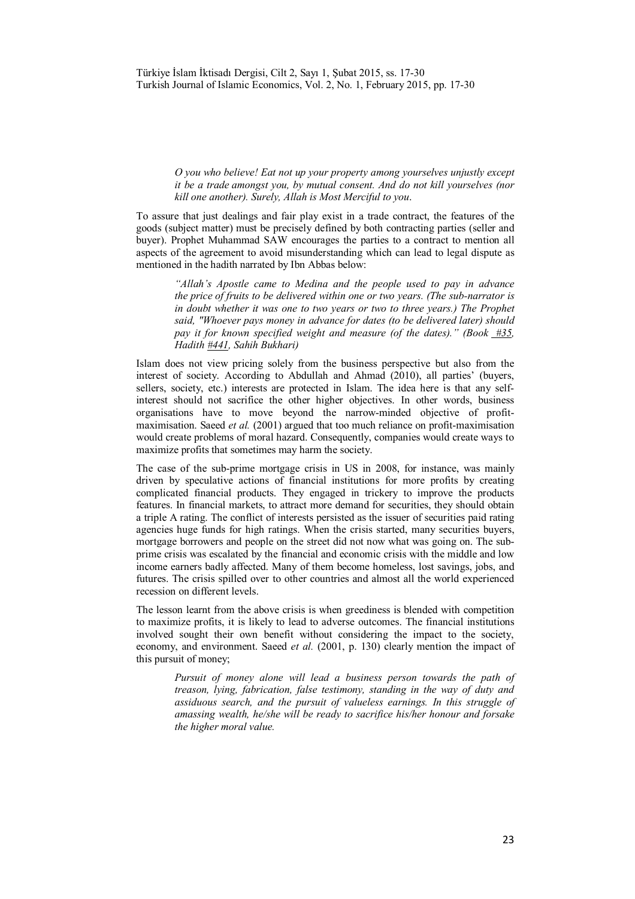*O you who believe! Eat not up your property among yourselves unjustly except it be a trade amongst you, by mutual consent. And do not kill yourselves (nor kill one another). Surely, Allah is Most Merciful to you*.

To assure that just dealings and fair play exist in a trade contract, the features of the goods (subject matter) must be precisely defined by both contracting parties (seller and buyer). Prophet Muhammad SAW encourages the parties to a contract to mention all aspects of the agreement to avoid misunderstanding which can lead to legal dispute as mentioned in the hadith narrated by Ibn Abbas below:

> *"Allah's Apostle came to Medina and the people used to pay in advance the price of fruits to be delivered within one or two years. (The sub-narrator is in doubt whether it was one to two years or two to three years.) The Prophet said, "Whoever pays money in advance for dates (to be delivered later) should pay it for known specified weight and measure (of the dates)." (Book [#35,](http://www.searchtruth.com/book_display.php?book=35&translator=1&start=0&number=441) Hadith [#441,](http://www.searchtruth.com/book_display.php?book=35&translator=1&start=0&number=441) Sahih Bukhari)*

Islam does not view pricing solely from the business perspective but also from the interest of society. According to Abdullah and Ahmad (2010), all parties' (buyers, sellers, society, etc.) interests are protected in Islam. The idea here is that any selfinterest should not sacrifice the other higher objectives. In other words, business organisations have to move beyond the narrow-minded objective of profitmaximisation. Saeed *et al.* (2001) argued that too much reliance on profit-maximisation would create problems of moral hazard. Consequently, companies would create ways to maximize profits that sometimes may harm the society.

The case of the sub-prime mortgage crisis in US in 2008, for instance, was mainly driven by speculative actions of financial institutions for more profits by creating complicated financial products. They engaged in trickery to improve the products features. In financial markets, to attract more demand for securities, they should obtain a triple A rating. The conflict of interests persisted as the issuer of securities paid rating agencies huge funds for high ratings. When the crisis started, many securities buyers, mortgage borrowers and people on the street did not now what was going on. The subprime crisis was escalated by the financial and economic crisis with the middle and low income earners badly affected. Many of them become homeless, lost savings, jobs, and futures. The crisis spilled over to other countries and almost all the world experienced recession on different levels.

The lesson learnt from the above crisis is when greediness is blended with competition to maximize profits, it is likely to lead to adverse outcomes. The financial institutions involved sought their own benefit without considering the impact to the society, economy, and environment. Saeed *et al.* (2001, p. 130) clearly mention the impact of this pursuit of money;

*Pursuit of money alone will lead a business person towards the path of treason, lying, fabrication, false testimony, standing in the way of duty and assiduous search, and the pursuit of valueless earnings. In this struggle of amassing wealth, he/she will be ready to sacrifice his/her honour and forsake the higher moral value.*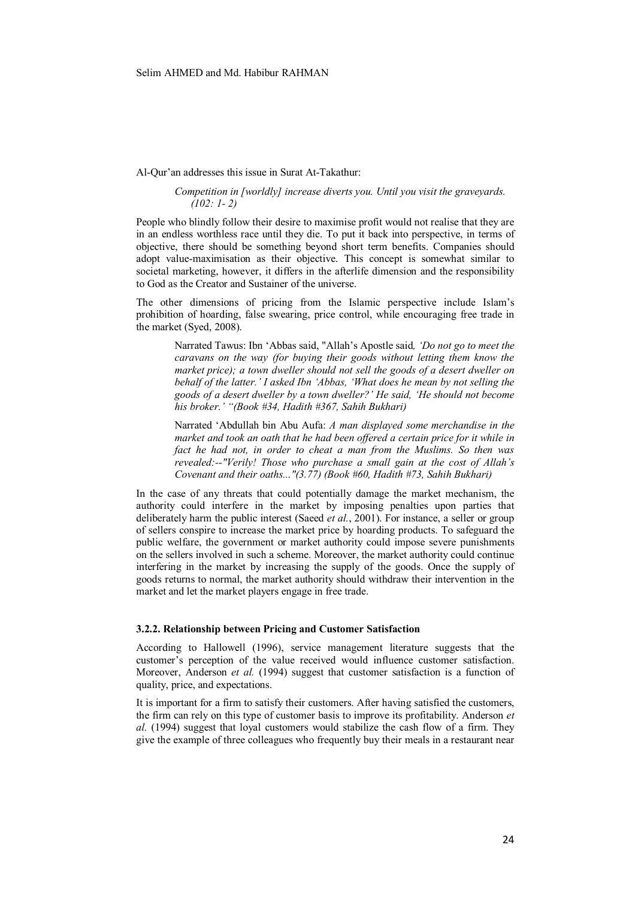Al-Qur'an addresses this issue in Surat At-Takathur:

# *Competition in [worldly] increase diverts you. Until you visit the graveyards. (102: 1- 2)*

People who blindly follow their desire to maximise profit would not realise that they are in an endless worthless race until they die. To put it back into perspective, in terms of objective, there should be something beyond short term benefits. Companies should adopt value-maximisation as their objective. This concept is somewhat similar to societal marketing, however, it differs in the afterlife dimension and the responsibility to God as the Creator and Sustainer of the universe.

The other dimensions of pricing from the Islamic perspective include Islam's prohibition of hoarding, false swearing, price control, while encouraging free trade in the market (Syed, 2008).

> Narrated Tawus: Ibn 'Abbas said, "Allah's Apostle said*, 'Do not go to meet the caravans on the way (for buying their goods without letting them know the market price); a town dweller should not sell the goods of a desert dweller on behalf of the latter.' I asked Ibn 'Abbas, 'What does he mean by not selling the goods of a desert dweller by a town dweller?' He said, 'He should not become his broker.' "(Book #34, Hadith #367, Sahih Bukhari)*

> Narrated 'Abdullah bin Abu Aufa: *A man displayed some merchandise in the market and took an oath that he had been offered a certain price for it while in fact he had not, in order to cheat a man from the Muslims. So then was revealed:--"Verily! Those who purchase a small gain at the cost of Allah's Covenant and their oaths..."(3.77) (Book #60, Hadith #73, Sahih Bukhari)*

In the case of any threats that could potentially damage the market mechanism, the authority could interfere in the market by imposing penalties upon parties that deliberately harm the public interest (Saeed *et al.*, 2001). For instance, a seller or group of sellers conspire to increase the market price by hoarding products. To safeguard the public welfare, the government or market authority could impose severe punishments on the sellers involved in such a scheme. Moreover, the market authority could continue interfering in the market by increasing the supply of the goods. Once the supply of goods returns to normal, the market authority should withdraw their intervention in the market and let the market players engage in free trade.

#### **3.2.2. Relationship between Pricing and Customer Satisfaction**

According to Hallowell (1996), service management literature suggests that the customer's perception of the value received would influence customer satisfaction. Moreover, Anderson *et al.* (1994) suggest that customer satisfaction is a function of quality, price, and expectations.

It is important for a firm to satisfy their customers. After having satisfied the customers, the firm can rely on this type of customer basis to improve its profitability. Anderson *et al.* (1994) suggest that loyal customers would stabilize the cash flow of a firm. They give the example of three colleagues who frequently buy their meals in a restaurant near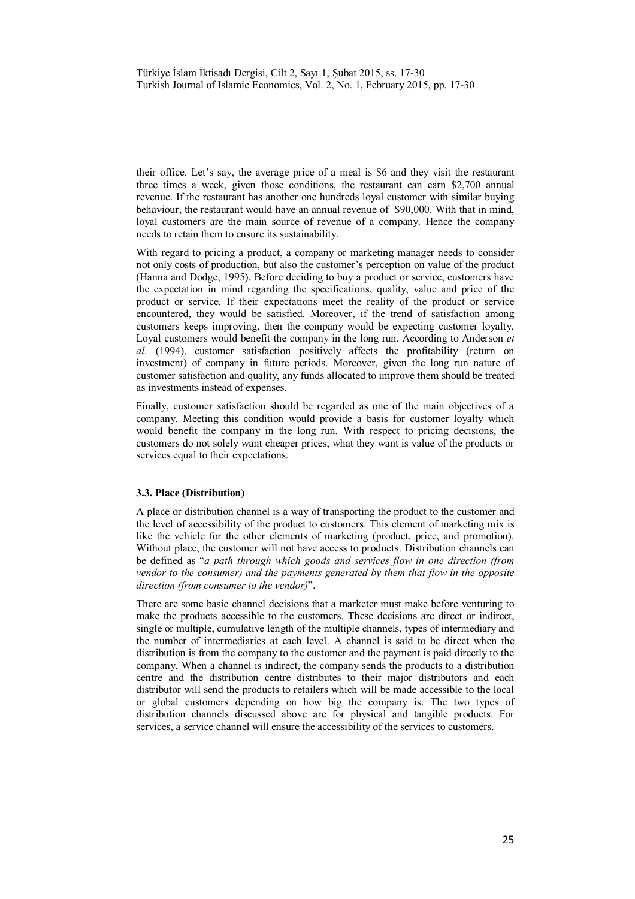their office. Let's say, the average price of a meal is \$6 and they visit the restaurant three times a week, given those conditions, the restaurant can earn \$2,700 annual revenue. If the restaurant has another one hundreds loyal customer with similar buying behaviour, the restaurant would have an annual revenue of \$90,000. With that in mind, loyal customers are the main source of revenue of a company. Hence the company needs to retain them to ensure its sustainability.

With regard to pricing a product, a company or marketing manager needs to consider not only costs of production, but also the customer's perception on value of the product (Hanna and Dodge, 1995). Before deciding to buy a product or service, customers have the expectation in mind regarding the specifications, quality, value and price of the product or service. If their expectations meet the reality of the product or service encountered, they would be satisfied. Moreover, if the trend of satisfaction among customers keeps improving, then the company would be expecting customer loyalty. Loyal customers would benefit the company in the long run. According to Anderson *et al.* (1994), customer satisfaction positively affects the profitability (return on investment) of company in future periods. Moreover, given the long run nature of customer satisfaction and quality, any funds allocated to improve them should be treated as investments instead of expenses.

Finally, customer satisfaction should be regarded as one of the main objectives of a company. Meeting this condition would provide a basis for customer loyalty which would benefit the company in the long run. With respect to pricing decisions, the customers do not solely want cheaper prices, what they want is value of the products or services equal to their expectations.

# **3.3. Place (Distribution)**

A place or distribution channel is a way of transporting the product to the customer and the level of accessibility of the product to customers. This element of marketing mix is like the vehicle for the other elements of marketing (product, price, and promotion). Without place, the customer will not have access to products. Distribution channels can be defined as "*a path through which goods and services flow in one direction (from vendor to the consumer) and the payments generated by them that flow in the opposite direction (from consumer to the vendor)*".

There are some basic channel decisions that a marketer must make before venturing to make the products accessible to the customers. These decisions are direct or indirect, single or multiple, cumulative length of the multiple channels, types of intermediary and the number of intermediaries at each level. A channel is said to be direct when the distribution is from the company to the customer and the payment is paid directly to the company. When a channel is indirect, the company sends the products to a distribution centre and the distribution centre distributes to their major distributors and each distributor will send the products to retailers which will be made accessible to the local or global customers depending on how big the company is. The two types of distribution channels discussed above are for physical and tangible products. For services, a service channel will ensure the accessibility of the services to customers.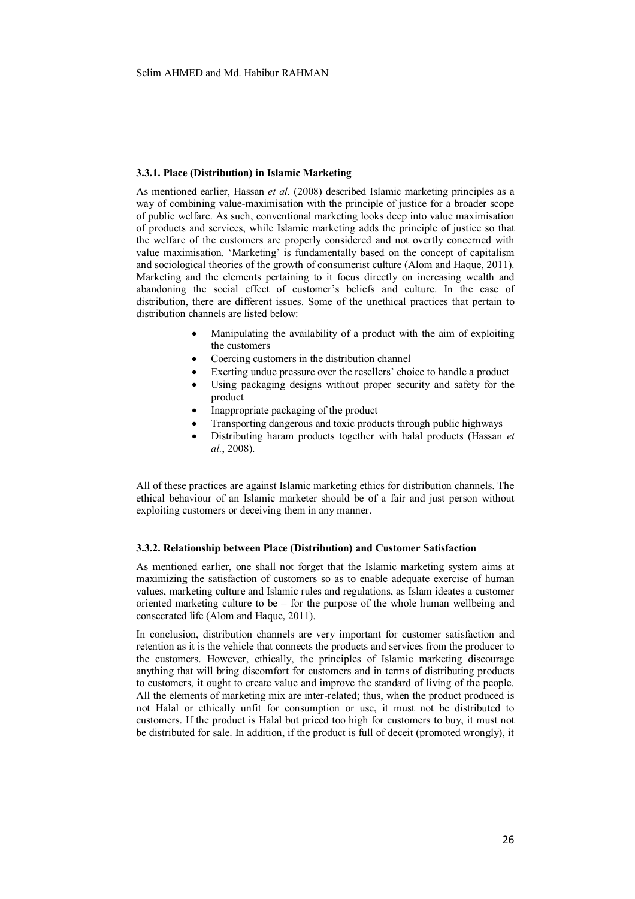#### **3.3.1. Place (Distribution) in Islamic Marketing**

As mentioned earlier, Hassan *et al.* (2008) described Islamic marketing principles as a way of combining value-maximisation with the principle of justice for a broader scope of public welfare. As such, conventional marketing looks deep into value maximisation of products and services, while Islamic marketing adds the principle of justice so that the welfare of the customers are properly considered and not overtly concerned with value maximisation. 'Marketing' is fundamentally based on the concept of capitalism and sociological theories of the growth of consumerist culture (Alom and Haque, 2011). Marketing and the elements pertaining to it focus directly on increasing wealth and abandoning the social effect of customer's beliefs and culture. In the case of distribution, there are different issues. Some of the unethical practices that pertain to distribution channels are listed below:

- Manipulating the availability of a product with the aim of exploiting the customers
- Coercing customers in the distribution channel
	- Exerting undue pressure over the resellers' choice to handle a product
- Using packaging designs without proper security and safety for the product
- Inappropriate packaging of the product
- Transporting dangerous and toxic products through public highways
- Distributing haram products together with halal products (Hassan *et al.*, 2008).

All of these practices are against Islamic marketing ethics for distribution channels. The ethical behaviour of an Islamic marketer should be of a fair and just person without exploiting customers or deceiving them in any manner.

### **3.3.2. Relationship between Place (Distribution) and Customer Satisfaction**

As mentioned earlier, one shall not forget that the Islamic marketing system aims at maximizing the satisfaction of customers so as to enable adequate exercise of human values, marketing culture and Islamic rules and regulations, as Islam ideates a customer oriented marketing culture to be – for the purpose of the whole human wellbeing and consecrated life (Alom and Haque, 2011).

In conclusion, distribution channels are very important for customer satisfaction and retention as it is the vehicle that connects the products and services from the producer to the customers. However, ethically, the principles of Islamic marketing discourage anything that will bring discomfort for customers and in terms of distributing products to customers, it ought to create value and improve the standard of living of the people. All the elements of marketing mix are inter-related; thus, when the product produced is not Halal or ethically unfit for consumption or use, it must not be distributed to customers. If the product is Halal but priced too high for customers to buy, it must not be distributed for sale. In addition, if the product is full of deceit (promoted wrongly), it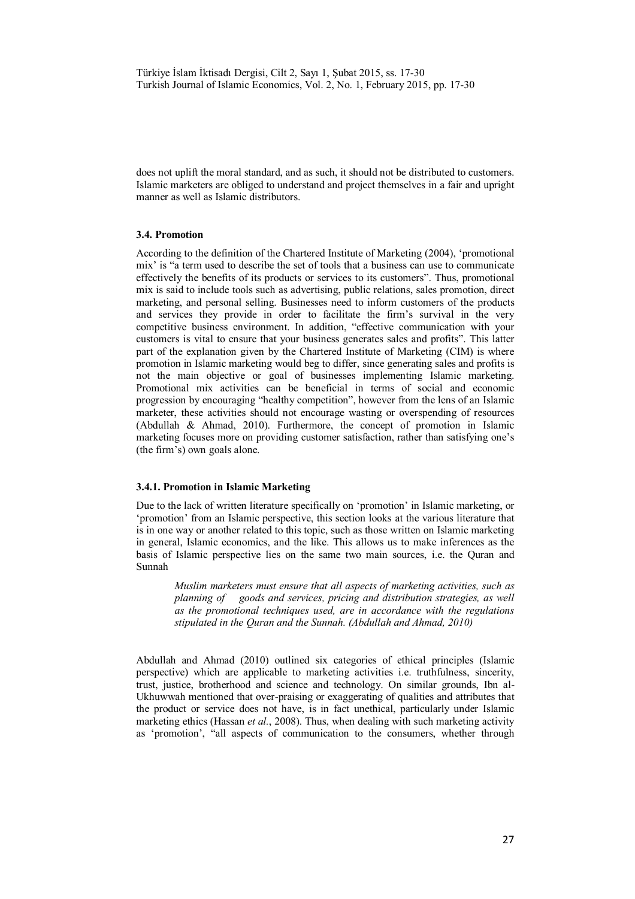does not uplift the moral standard, and as such, it should not be distributed to customers. Islamic marketers are obliged to understand and project themselves in a fair and upright manner as well as Islamic distributors.

# **3.4. Promotion**

According to the definition of the Chartered Institute of Marketing (2004), 'promotional mix' is "a term used to describe the set of tools that a business can use to communicate effectively the benefits of its products or services to its customers". Thus, promotional mix is said to include tools such as advertising, public relations, sales promotion, direct marketing, and personal selling. Businesses need to inform customers of the products and services they provide in order to facilitate the firm's survival in the very competitive business environment. In addition, "effective communication with your customers is vital to ensure that your business generates sales and profits". This latter part of the explanation given by the Chartered Institute of Marketing (CIM) is where promotion in Islamic marketing would beg to differ, since generating sales and profits is not the main objective or goal of businesses implementing Islamic marketing. Promotional mix activities can be beneficial in terms of social and economic progression by encouraging "healthy competition", however from the lens of an Islamic marketer, these activities should not encourage wasting or overspending of resources (Abdullah & Ahmad, 2010). Furthermore, the concept of promotion in Islamic marketing focuses more on providing customer satisfaction, rather than satisfying one's (the firm's) own goals alone.

#### **3.4.1. Promotion in Islamic Marketing**

Due to the lack of written literature specifically on 'promotion' in Islamic marketing, or 'promotion' from an Islamic perspective, this section looks at the various literature that is in one way or another related to this topic, such as those written on Islamic marketing in general, Islamic economics, and the like. This allows us to make inferences as the basis of Islamic perspective lies on the same two main sources, i.e. the Quran and Sunnah

> *Muslim marketers must ensure that all aspects of marketing activities, such as planning of goods and services, pricing and distribution strategies, as well as the promotional techniques used, are in accordance with the regulations stipulated in the Quran and the Sunnah. (Abdullah and Ahmad, 2010)*

Abdullah and Ahmad (2010) outlined six categories of ethical principles (Islamic perspective) which are applicable to marketing activities i.e. truthfulness, sincerity, trust, justice, brotherhood and science and technology. On similar grounds, Ibn al-Ukhuwwah mentioned that over-praising or exaggerating of qualities and attributes that the product or service does not have, is in fact unethical, particularly under Islamic marketing ethics (Hassan *et al.*, 2008). Thus, when dealing with such marketing activity as 'promotion', "all aspects of communication to the consumers, whether through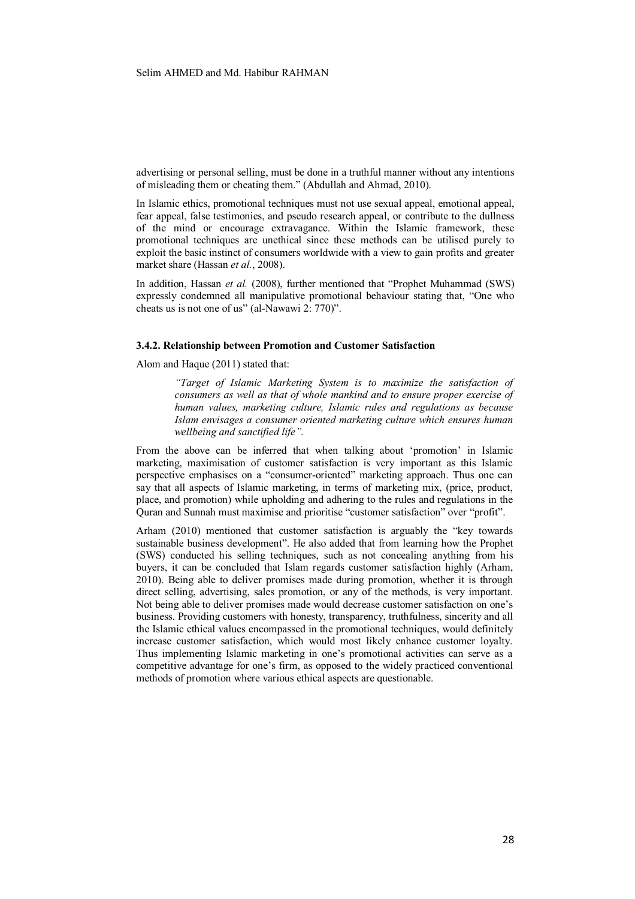advertising or personal selling, must be done in a truthful manner without any intentions of misleading them or cheating them." (Abdullah and Ahmad, 2010).

In Islamic ethics, promotional techniques must not use sexual appeal, emotional appeal, fear appeal, false testimonies, and pseudo research appeal, or contribute to the dullness of the mind or encourage extravagance. Within the Islamic framework, these promotional techniques are unethical since these methods can be utilised purely to exploit the basic instinct of consumers worldwide with a view to gain profits and greater market share (Hassan *et al.*, 2008).

In addition, Hassan *et al.* (2008), further mentioned that "Prophet Muhammad (SWS) expressly condemned all manipulative promotional behaviour stating that, "One who cheats us is not one of us" (al-Nawawi 2: 770)".

### **3.4.2. Relationship between Promotion and Customer Satisfaction**

Alom and Haque (2011) stated that:

*"Target of Islamic Marketing System is to maximize the satisfaction of consumers as well as that of whole mankind and to ensure proper exercise of human values, marketing culture, Islamic rules and regulations as because Islam envisages a consumer oriented marketing culture which ensures human wellbeing and sanctified life".* 

From the above can be inferred that when talking about 'promotion' in Islamic marketing, maximisation of customer satisfaction is very important as this Islamic perspective emphasises on a "consumer-oriented" marketing approach. Thus one can say that all aspects of Islamic marketing, in terms of marketing mix, (price, product, place, and promotion) while upholding and adhering to the rules and regulations in the Quran and Sunnah must maximise and prioritise "customer satisfaction" over "profit".

Arham (2010) mentioned that customer satisfaction is arguably the "key towards sustainable business development". He also added that from learning how the Prophet (SWS) conducted his selling techniques, such as not concealing anything from his buyers, it can be concluded that Islam regards customer satisfaction highly (Arham, 2010). Being able to deliver promises made during promotion, whether it is through direct selling, advertising, sales promotion, or any of the methods, is very important. Not being able to deliver promises made would decrease customer satisfaction on one's business. Providing customers with honesty, transparency, truthfulness, sincerity and all the Islamic ethical values encompassed in the promotional techniques, would definitely increase customer satisfaction, which would most likely enhance customer loyalty. Thus implementing Islamic marketing in one's promotional activities can serve as a competitive advantage for one's firm, as opposed to the widely practiced conventional methods of promotion where various ethical aspects are questionable.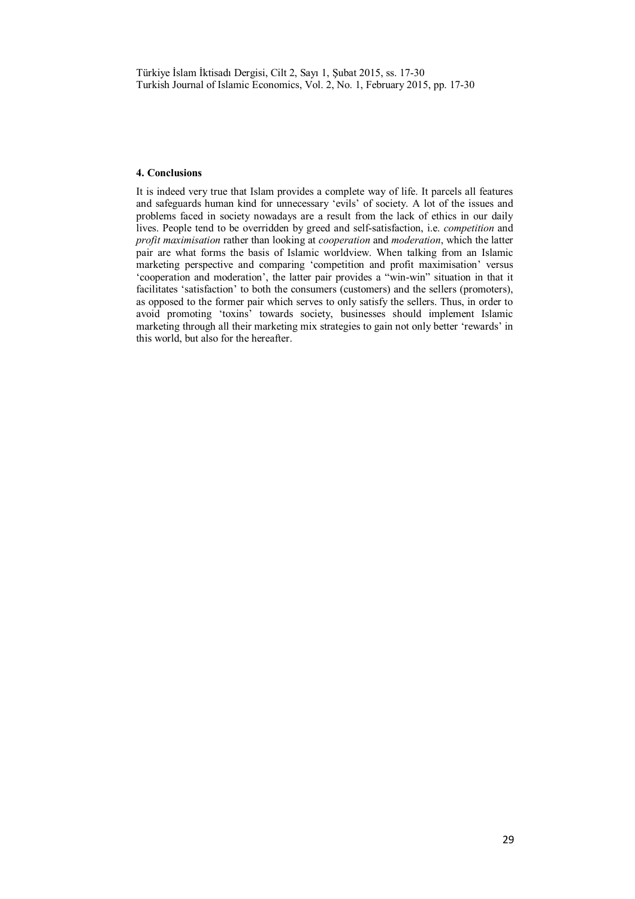Türkiye İslam İktisadı Dergisi, Cilt 2, Sayı 1, Şubat 2015, ss. 17-30 Turkish Journal of Islamic Economics, Vol. 2, No. 1, February 2015, pp. 17-30

# **4. Conclusions**

It is indeed very true that Islam provides a complete way of life. It parcels all features and safeguards human kind for unnecessary 'evils' of society. A lot of the issues and problems faced in society nowadays are a result from the lack of ethics in our daily lives. People tend to be overridden by greed and self-satisfaction, i.e. *competition* and *profit maximisation* rather than looking at *cooperation* and *moderation*, which the latter pair are what forms the basis of Islamic worldview. When talking from an Islamic marketing perspective and comparing 'competition and profit maximisation' versus 'cooperation and moderation', the latter pair provides a "win-win" situation in that it facilitates 'satisfaction' to both the consumers (customers) and the sellers (promoters), as opposed to the former pair which serves to only satisfy the sellers. Thus, in order to avoid promoting 'toxins' towards society, businesses should implement Islamic marketing through all their marketing mix strategies to gain not only better 'rewards' in this world, but also for the hereafter.